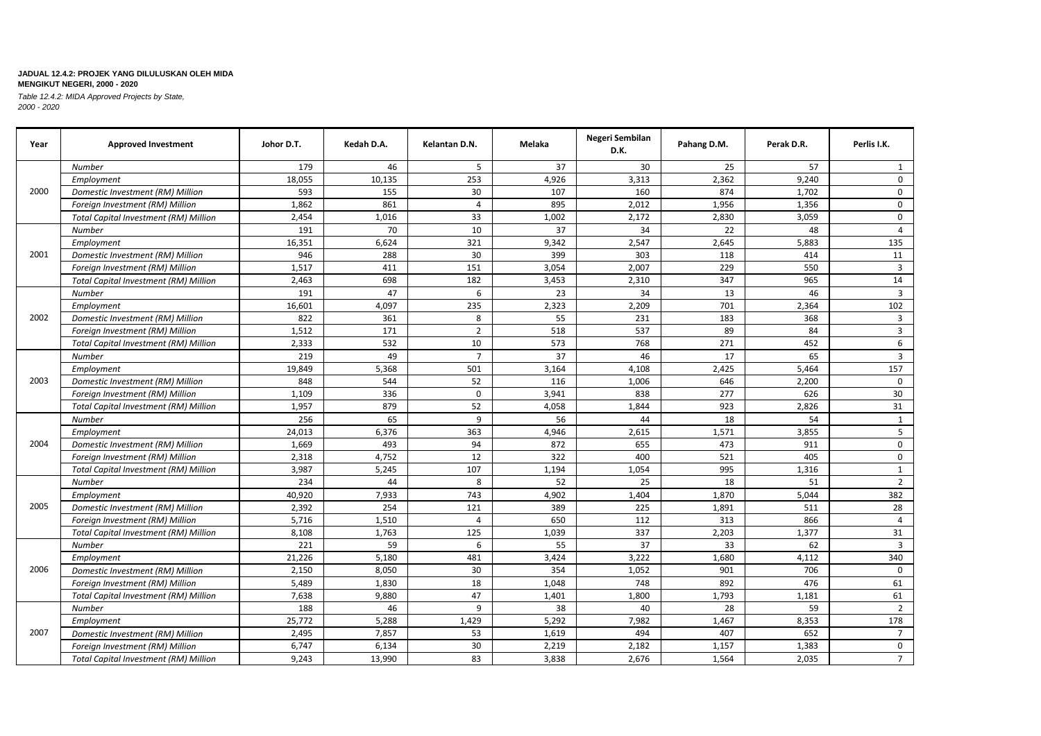| Year | <b>Approved Investment</b>                   | Johor D.T. | Kedah D.A. | Kelantan D.N.  | Melaka | Negeri Sembilan<br>D.K. | Pahang D.M. | Perak D.R. | Perlis I.K.    |
|------|----------------------------------------------|------------|------------|----------------|--------|-------------------------|-------------|------------|----------------|
|      | <b>Number</b>                                | 179        | 46         | 5              | 37     | 30                      | 25          | 57         | 1              |
| 2000 | Employment                                   | 18,055     | 10,135     | 253            | 4,926  | 3,313                   | 2,362       | 9,240      | $\mathbf 0$    |
|      | Domestic Investment (RM) Million             | 593        | 155        | 30             | 107    | 160                     | 874         | 1,702      | $\mathbf 0$    |
|      | Foreign Investment (RM) Million              | 1,862      | 861        | 4              | 895    | 2,012                   | 1,956       | 1,356      | $\mathbf 0$    |
|      | Total Capital Investment (RM) Million        | 2,454      | 1.016      | 33             | 1.002  | 2,172                   | 2,830       | 3,059      | $\mathbf 0$    |
|      | <b>Number</b>                                | 191        | 70         | 10             | 37     | 34                      | 22          | 48         | $\overline{4}$ |
|      | Employment                                   | 16,351     | 6,624      | 321            | 9,342  | 2,547                   | 2,645       | 5,883      | 135            |
| 2001 | Domestic Investment (RM) Million             | 946        | 288        | 30             | 399    | 303                     | 118         | 414        | 11             |
|      | Foreign Investment (RM) Million              | 1,517      | 411        | 151            | 3,054  | 2,007                   | 229         | 550        | $\overline{3}$ |
|      | Total Capital Investment (RM) Million        | 2,463      | 698        | 182            | 3,453  | 2,310                   | 347         | 965        | 14             |
|      | Number                                       | 191        | 47         | 6              | 23     | 34                      | 13          | 46         | $\overline{3}$ |
|      | Employment                                   | 16,601     | 4,097      | 235            | 2,323  | 2,209                   | 701         | 2,364      | 102            |
| 2002 | Domestic Investment (RM) Million             | 822        | 361        | 8              | 55     | 231                     | 183         | 368        | 3              |
|      | Foreign Investment (RM) Million              | 1,512      | 171        | $\overline{2}$ | 518    | 537                     | 89          | 84         | 3              |
|      | <b>Total Capital Investment (RM) Million</b> | 2,333      | 532        | 10             | 573    | 768                     | 271         | 452        | 6              |
| 2003 | Number                                       | 219        | 49         | $\overline{7}$ | 37     | 46                      | 17          | 65         | $\overline{3}$ |
|      | Employment                                   | 19,849     | 5,368      | 501            | 3,164  | 4,108                   | 2,425       | 5,464      | 157            |
|      | Domestic Investment (RM) Million             | 848        | 544        | 52             | 116    | 1,006                   | 646         | 2,200      | $\mathbf 0$    |
|      | Foreign Investment (RM) Million              | 1,109      | 336        | 0              | 3,941  | 838                     | 277         | 626        | 30             |
|      | <b>Total Capital Investment (RM) Million</b> | 1,957      | 879        | 52             | 4,058  | 1,844                   | 923         | 2,826      | 31             |
|      | Number                                       | 256        | 65         | 9              | 56     | 44                      | 18          | 54         | 1              |
|      | Employment                                   | 24,013     | 6,376      | 363            | 4,946  | 2.615                   | 1.571       | 3,855      | 5              |
| 2004 | Domestic Investment (RM) Million             | 1,669      | 493        | 94             | 872    | 655                     | 473         | 911        | $\mathbf 0$    |
|      | Foreign Investment (RM) Million              | 2,318      | 4,752      | 12             | 322    | 400                     | 521         | 405        | $\mathbf{0}$   |
|      | <b>Total Capital Investment (RM) Million</b> | 3,987      | 5,245      | 107            | 1,194  | 1,054                   | 995         | 1,316      | $\mathbf{1}$   |
|      | <b>Number</b>                                | 234        | 44         | 8              | 52     | 25                      | 18          | 51         | $\overline{2}$ |
|      | Employment                                   | 40,920     | 7,933      | 743            | 4,902  | 1,404                   | 1,870       | 5,044      | 382            |
| 2005 | Domestic Investment (RM) Million             | 2,392      | 254        | 121            | 389    | 225                     | 1,891       | 511        | 28             |
|      | Foreign Investment (RM) Million              | 5,716      | 1,510      | $\overline{4}$ | 650    | 112                     | 313         | 866        | 4              |
|      | Total Capital Investment (RM) Million        | 8,108      | 1,763      | 125            | 1,039  | 337                     | 2,203       | 1,377      | 31             |
|      | Number                                       | 221        | 59         | 6              | 55     | 37                      | 33          | 62         | $\overline{3}$ |
|      | Employment                                   | 21,226     | 5,180      | 481            | 3,424  | 3,222                   | 1,680       | 4,112      | 340            |
| 2006 | Domestic Investment (RM) Million             | 2,150      | 8,050      | 30             | 354    | 1,052                   | 901         | 706        | $\Omega$       |
|      | Foreign Investment (RM) Million              | 5,489      | 1,830      | 18             | 1,048  | 748                     | 892         | 476        | 61             |
|      | Total Capital Investment (RM) Million        | 7,638      | 9,880      | 47             | 1,401  | 1,800                   | 1,793       | 1,181      | 61             |
|      | Number                                       | 188        | 46         | 9              | 38     | 40                      | 28          | 59         | $\overline{2}$ |
|      | Employment                                   | 25,772     | 5,288      | 1,429          | 5,292  | 7,982                   | 1,467       | 8,353      | 178            |
| 2007 | Domestic Investment (RM) Million             | 2,495      | 7,857      | 53             | 1,619  | 494                     | 407         | 652        | $\overline{7}$ |
|      | Foreign Investment (RM) Million              | 6,747      | 6,134      | 30             | 2,219  | 2,182                   | 1,157       | 1,383      | 0              |
|      | <b>Total Capital Investment (RM) Million</b> | 9,243      | 13,990     | 83             | 3,838  | 2,676                   | 1,564       | 2,035      | 7 <sup>7</sup> |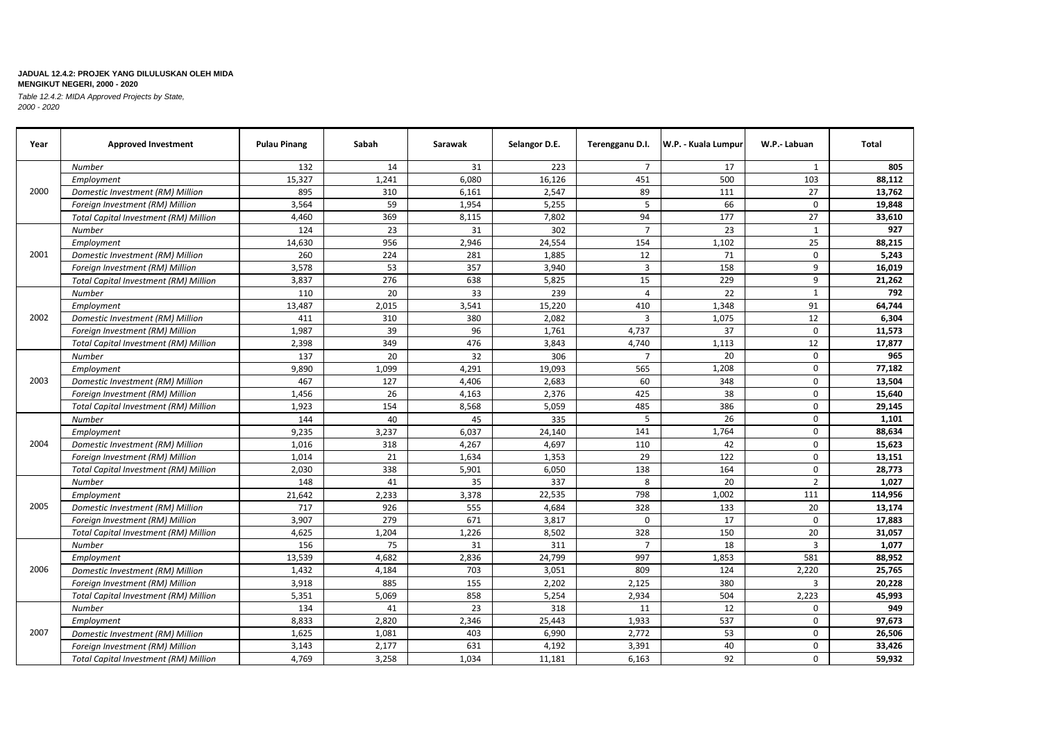| Year | <b>Approved Investment</b>                   | <b>Pulau Pinang</b> | Sabah | Sarawak | Selangor D.E. |                | Terengganu D.I.   W.P. - Kuala Lumpur | W.P.- Labuan   | Total   |
|------|----------------------------------------------|---------------------|-------|---------|---------------|----------------|---------------------------------------|----------------|---------|
|      | <b>Number</b>                                | 132                 | 14    | 31      | 223           | $\overline{7}$ | 17                                    | 1              | 805     |
|      | Employment                                   | 15,327              | 1,241 | 6,080   | 16,126        | 451            | 500                                   | 103            | 88,112  |
| 2000 | Domestic Investment (RM) Million             | 895                 | 310   | 6,161   | 2,547         | 89             | 111                                   | 27             | 13,762  |
|      | Foreign Investment (RM) Million              | 3,564               | 59    | 1,954   | 5,255         | 5              | 66                                    | $\mathbf 0$    | 19,848  |
|      | <b>Total Capital Investment (RM) Million</b> | 4,460               | 369   | 8,115   | 7,802         | 94             | 177                                   | 27             | 33,610  |
|      | Number                                       | 124                 | 23    | 31      | 302           | $\overline{7}$ | 23                                    | $\mathbf{1}$   | 927     |
|      | Employment                                   | 14,630              | 956   | 2,946   | 24,554        | 154            | 1,102                                 | 25             | 88,215  |
| 2001 | Domestic Investment (RM) Million             | 260                 | 224   | 281     | 1,885         | 12             | 71                                    | $\mathbf 0$    | 5,243   |
|      | Foreign Investment (RM) Million              | 3,578               | 53    | 357     | 3,940         | $\overline{3}$ | 158                                   | 9              | 16,019  |
|      | <b>Total Capital Investment (RM) Million</b> | 3,837               | 276   | 638     | 5,825         | 15             | 229                                   | 9              | 21,262  |
|      | Number                                       | 110                 | 20    | 33      | 239           | $\overline{4}$ | 22                                    | 1              | 792     |
|      | Employment                                   | 13,487              | 2,015 | 3,541   | 15,220        | 410            | 1,348                                 | 91             | 64,744  |
| 2002 | Domestic Investment (RM) Million             | 411                 | 310   | 380     | 2,082         | $\overline{3}$ | 1.075                                 | 12             | 6,304   |
|      | Foreign Investment (RM) Million              | 1,987               | 39    | 96      | 1,761         | 4,737          | 37                                    | $\Omega$       | 11,573  |
|      | <b>Total Capital Investment (RM) Million</b> | 2,398               | 349   | 476     | 3,843         | 4,740          | 1,113                                 | 12             | 17,877  |
|      | <b>Number</b>                                | 137                 | 20    | 32      | 306           | $\overline{7}$ | 20                                    | $\mathbf 0$    | 965     |
|      | Employment                                   | 9,890               | 1,099 | 4,291   | 19,093        | 565            | 1,208                                 | $\mathbf 0$    | 77,182  |
| 2003 | Domestic Investment (RM) Million             | 467                 | 127   | 4,406   | 2,683         | 60             | 348                                   | $\mathbf 0$    | 13,504  |
|      | Foreign Investment (RM) Million              | 1,456               | 26    | 4,163   | 2,376         | 425            | 38                                    | $\mathbf 0$    | 15,640  |
|      | <b>Total Capital Investment (RM) Million</b> | 1,923               | 154   | 8,568   | 5,059         | 485            | 386                                   | 0              | 29,145  |
|      | <b>Number</b>                                | 144                 | 40    | 45      | 335           | 5              | 26                                    | $\mathbf 0$    | 1,101   |
|      | Employment                                   | 9,235               | 3,237 | 6,037   | 24,140        | 141            | 1.764                                 | $\mathbf 0$    | 88,634  |
| 2004 | Domestic Investment (RM) Million             | 1,016               | 318   | 4,267   | 4,697         | 110            | 42                                    | $\mathbf 0$    | 15,623  |
|      | Foreign Investment (RM) Million              | 1,014               | 21    | 1,634   | 1,353         | 29             | 122                                   | $\mathbf 0$    | 13,151  |
|      | <b>Total Capital Investment (RM) Million</b> | 2,030               | 338   | 5,901   | 6,050         | 138            | 164                                   | $\mathbf 0$    | 28,773  |
|      | <b>Number</b>                                | 148                 | 41    | 35      | 337           | 8              | 20                                    | $\overline{2}$ | 1,027   |
|      | Employment                                   | 21,642              | 2,233 | 3,378   | 22,535        | 798            | 1,002                                 | 111            | 114,956 |
| 2005 | Domestic Investment (RM) Million             | 717                 | 926   | 555     | 4,684         | 328            | 133                                   | 20             | 13,174  |
|      | Foreign Investment (RM) Million              | 3,907               | 279   | 671     | 3,817         | $\mathbf 0$    | 17                                    | $\mathbf 0$    | 17,883  |
|      | <b>Total Capital Investment (RM) Million</b> | 4.625               | 1,204 | 1,226   | 8,502         | 328            | 150                                   | 20             | 31,057  |
|      | <b>Number</b>                                | 156                 | 75    | 31      | 311           | $\overline{7}$ | 18                                    | $\overline{3}$ | 1,077   |
|      | Employment                                   | 13,539              | 4,682 | 2,836   | 24,799        | 997            | 1,853                                 | 581            | 88,952  |
| 2006 | Domestic Investment (RM) Million             | 1,432               | 4,184 | 703     | 3,051         | 809            | 124                                   | 2,220          | 25,765  |
|      | Foreign Investment (RM) Million              | 3,918               | 885   | 155     | 2,202         | 2,125          | 380                                   | 3              | 20,228  |
|      | Total Capital Investment (RM) Million        | 5,351               | 5,069 | 858     | 5,254         | 2,934          | 504                                   | 2,223          | 45,993  |
|      | Number                                       | 134                 | 41    | 23      | 318           | 11             | 12                                    | 0              | 949     |
|      | Employment                                   | 8,833               | 2,820 | 2,346   | 25,443        | 1,933          | 537                                   | $\mathbf 0$    | 97,673  |
| 2007 | Domestic Investment (RM) Million             | 1,625               | 1,081 | 403     | 6,990         | 2,772          | 53                                    | 0              | 26,506  |
|      | Foreign Investment (RM) Million              | 3,143               | 2,177 | 631     | 4,192         | 3,391          | 40                                    | $\mathbf 0$    | 33,426  |
|      | <b>Total Capital Investment (RM) Million</b> | 4,769               | 3,258 | 1,034   | 11,181        | 6,163          | 92                                    | 0              | 59,932  |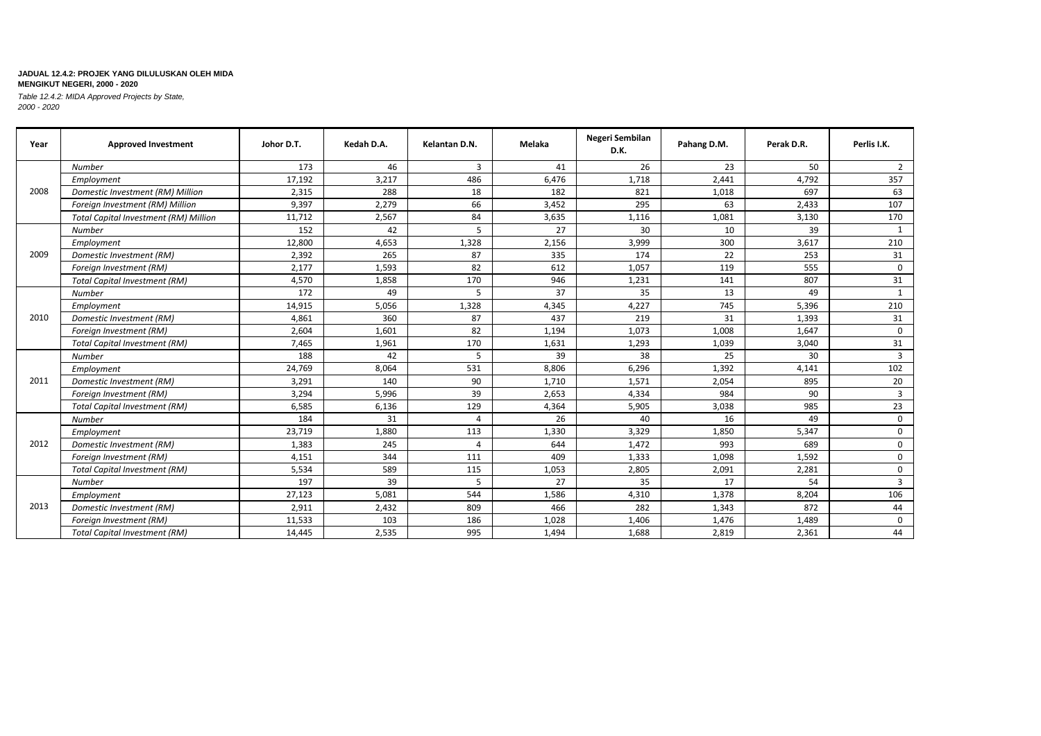| Year | <b>Approved Investment</b>                   | Johor D.T. | Kedah D.A. | Kelantan D.N.  | Melaka | Negeri Sembilan<br>D.K. | Pahang D.M. | Perak D.R. | Perlis I.K.    |
|------|----------------------------------------------|------------|------------|----------------|--------|-------------------------|-------------|------------|----------------|
|      | <b>Number</b>                                | 173        | 46         | 3              | 41     | 26                      | 23          | 50         | 2              |
|      | Employment                                   | 17,192     | 3,217      | 486            | 6,476  | 1,718                   | 2,441       | 4,792      | 357            |
| 2008 | Domestic Investment (RM) Million             | 2,315      | 288        | 18             | 182    | 821                     | 1,018       | 697        | 63             |
|      | Foreign Investment (RM) Million              | 9,397      | 2,279      | 66             | 3,452  | 295                     | 63          | 2,433      | 107            |
|      | <b>Total Capital Investment (RM) Million</b> | 11,712     | 2,567      | 84             | 3,635  | 1,116                   | 1,081       | 3,130      | 170            |
|      | Number                                       | 152        | 42         | 5              | 27     | 30                      | 10          | 39         | 1              |
|      | Employment                                   | 12,800     | 4,653      | 1,328          | 2,156  | 3,999                   | 300         | 3,617      | 210            |
| 2009 | Domestic Investment (RM)                     | 2,392      | 265        | 87             | 335    | 174                     | 22          | 253        | 31             |
|      | Foreign Investment (RM)                      | 2,177      | 1,593      | 82             | 612    | 1,057                   | 119         | 555        | $\mathbf 0$    |
|      | <b>Total Capital Investment (RM)</b>         | 4,570      | 1,858      | 170            | 946    | 1,231                   | 141         | 807        | 31             |
|      | <b>Number</b>                                | 172        | 49         | 5              | 37     | 35                      | 13          | 49         | $\mathbf{1}$   |
|      | Employment                                   | 14,915     | 5,056      | 1,328          | 4,345  | 4,227                   | 745         | 5,396      | 210            |
| 2010 | Domestic Investment (RM)                     | 4,861      | 360        | 87             | 437    | 219                     | 31          | 1,393      | 31             |
|      | Foreign Investment (RM)                      | 2,604      | 1,601      | 82             | 1,194  | 1,073                   | 1,008       | 1,647      | $\Omega$       |
|      | <b>Total Capital Investment (RM)</b>         | 7,465      | 1,961      | 170            | 1,631  | 1,293                   | 1,039       | 3,040      | 31             |
|      | <b>Number</b>                                | 188        | 42         | 5              | 39     | 38                      | 25          | 30         | $\overline{3}$ |
|      | Employment                                   | 24,769     | 8,064      | 531            | 8,806  | 6,296                   | 1,392       | 4,141      | 102            |
| 2011 | Domestic Investment (RM)                     | 3,291      | 140        | 90             | 1,710  | 1,571                   | 2,054       | 895        | 20             |
|      | Foreign Investment (RM)                      | 3,294      | 5,996      | 39             | 2,653  | 4,334                   | 984         | 90         | $\overline{3}$ |
|      | <b>Total Capital Investment (RM)</b>         | 6,585      | 6,136      | 129            | 4,364  | 5,905                   | 3,038       | 985        | 23             |
|      | <b>Number</b>                                | 184        | 31         | 4              | 26     | 40                      | 16          | 49         | $\mathbf 0$    |
|      | Employment                                   | 23,719     | 1,880      | 113            | 1,330  | 3,329                   | 1,850       | 5,347      | 0              |
| 2012 | Domestic Investment (RM)                     | 1,383      | 245        | $\overline{4}$ | 644    | 1,472                   | 993         | 689        | 0              |
|      | Foreign Investment (RM)                      | 4,151      | 344        | 111            | 409    | 1,333                   | 1,098       | 1,592      | $\mathbf 0$    |
|      | <b>Total Capital Investment (RM)</b>         | 5,534      | 589        | 115            | 1,053  | 2,805                   | 2,091       | 2,281      | 0              |
|      | <b>Number</b>                                | 197        | 39         | 5              | 27     | 35                      | 17          | 54         | 3              |
|      | Employment                                   | 27,123     | 5,081      | 544            | 1,586  | 4,310                   | 1,378       | 8,204      | 106            |
| 2013 | Domestic Investment (RM)                     | 2,911      | 2,432      | 809            | 466    | 282                     | 1,343       | 872        | 44             |
|      | Foreign Investment (RM)                      | 11,533     | 103        | 186            | 1,028  | 1,406                   | 1,476       | 1,489      | $\mathbf 0$    |
|      | <b>Total Capital Investment (RM)</b>         | 14,445     | 2,535      | 995            | 1,494  | 1,688                   | 2,819       | 2,361      | 44             |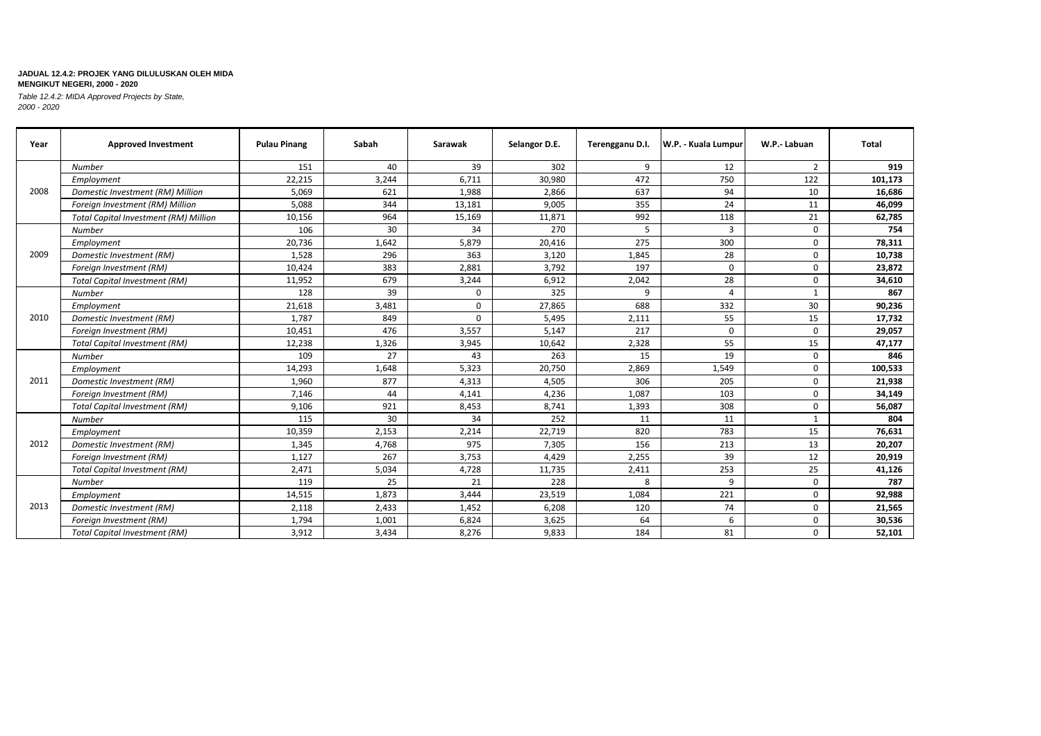| Year | <b>Approved Investment</b>                   | <b>Pulau Pinang</b> | Sabah | Sarawak | Selangor D.E. | Terengganu D.I. | W.P. - Kuala Lumpur | W.P.-Labuan  | Total   |
|------|----------------------------------------------|---------------------|-------|---------|---------------|-----------------|---------------------|--------------|---------|
|      | <b>Number</b>                                | 151                 | 40    | 39      | 302           | 9               | 12                  | 2            | 919     |
|      | Employment                                   | 22,215              | 3.244 | 6.711   | 30.980        | 472             | 750                 | 122          | 101,173 |
| 2008 | Domestic Investment (RM) Million             | 5,069               | 621   | 1,988   | 2,866         | 637             | 94                  | 10           | 16,686  |
|      | Foreign Investment (RM) Million              | 5,088               | 344   | 13,181  | 9,005         | 355             | 24                  | 11           | 46,099  |
|      | <b>Total Capital Investment (RM) Million</b> | 10,156              | 964   | 15,169  | 11,871        | 992             | 118                 | 21           | 62,785  |
|      | <b>Number</b>                                | 106                 | 30    | 34      | 270           | 5               | $\overline{3}$      | 0            | 754     |
|      | Employment                                   | 20,736              | 1,642 | 5,879   | 20,416        | 275             | 300                 | $\mathbf 0$  | 78,311  |
| 2009 | Domestic Investment (RM)                     | 1,528               | 296   | 363     | 3,120         | 1,845           | 28                  | $\mathbf 0$  | 10,738  |
|      | Foreign Investment (RM)                      | 10,424              | 383   | 2,881   | 3,792         | 197             | $\mathbf 0$         | 0            | 23,872  |
|      | <b>Total Capital Investment (RM)</b>         | 11,952              | 679   | 3,244   | 6,912         | 2,042           | 28                  | $\mathbf 0$  | 34,610  |
|      | <b>Number</b>                                | 128                 | 39    | 0       | 325           | 9               | $\overline{a}$      | $\mathbf{1}$ | 867     |
|      | Employment                                   | 21,618              | 3,481 | 0       | 27,865        | 688             | 332                 | 30           | 90,236  |
| 2010 | Domestic Investment (RM)                     | 1,787               | 849   | 0       | 5,495         | 2,111           | 55                  | 15           | 17,732  |
|      | Foreign Investment (RM)                      | 10,451              | 476   | 3,557   | 5,147         | 217             | $\Omega$            | $\Omega$     | 29,057  |
|      | <b>Total Capital Investment (RM)</b>         | 12,238              | 1,326 | 3,945   | 10,642        | 2,328           | 55                  | 15           | 47,177  |
|      | <b>Number</b>                                | 109                 | 27    | 43      | 263           | 15              | 19                  | $\Omega$     | 846     |
|      | Employment                                   | 14,293              | 1,648 | 5,323   | 20,750        | 2,869           | 1,549               | 0            | 100,533 |
| 2011 | Domestic Investment (RM)                     | 1,960               | 877   | 4,313   | 4,505         | 306             | 205                 | $\mathbf 0$  | 21,938  |
|      | Foreign Investment (RM)                      | 7,146               | 44    | 4,141   | 4,236         | 1,087           | 103                 | 0            | 34,149  |
|      | <b>Total Capital Investment (RM)</b>         | 9,106               | 921   | 8,453   | 8,741         | 1,393           | 308                 | 0            | 56,087  |
|      | <b>Number</b>                                | 115                 | 30    | 34      | 252           | 11              | 11                  | $\mathbf{1}$ | 804     |
|      | Employment                                   | 10,359              | 2,153 | 2,214   | 22,719        | 820             | 783                 | 15           | 76,631  |
| 2012 | Domestic Investment (RM)                     | 1,345               | 4,768 | 975     | 7,305         | 156             | 213                 | 13           | 20,207  |
|      | Foreign Investment (RM)                      | 1,127               | 267   | 3,753   | 4,429         | 2,255           | 39                  | 12           | 20,919  |
|      | <b>Total Capital Investment (RM)</b>         | 2,471               | 5,034 | 4,728   | 11,735        | 2,411           | 253                 | 25           | 41,126  |
|      | Number                                       | 119                 | 25    | 21      | 228           | 8               | 9                   | $\mathbf 0$  | 787     |
|      | Employment                                   | 14,515              | 1,873 | 3,444   | 23,519        | 1,084           | 221                 | $\mathbf 0$  | 92,988  |
| 2013 | Domestic Investment (RM)                     | 2,118               | 2,433 | 1,452   | 6,208         | 120             | 74                  | $\Omega$     | 21,565  |
|      | Foreign Investment (RM)                      | 1,794               | 1,001 | 6,824   | 3,625         | 64              | 6                   | 0            | 30,536  |
|      | <b>Total Capital Investment (RM)</b>         | 3,912               | 3,434 | 8,276   | 9,833         | 184             | 81                  | $\mathbf 0$  | 52,101  |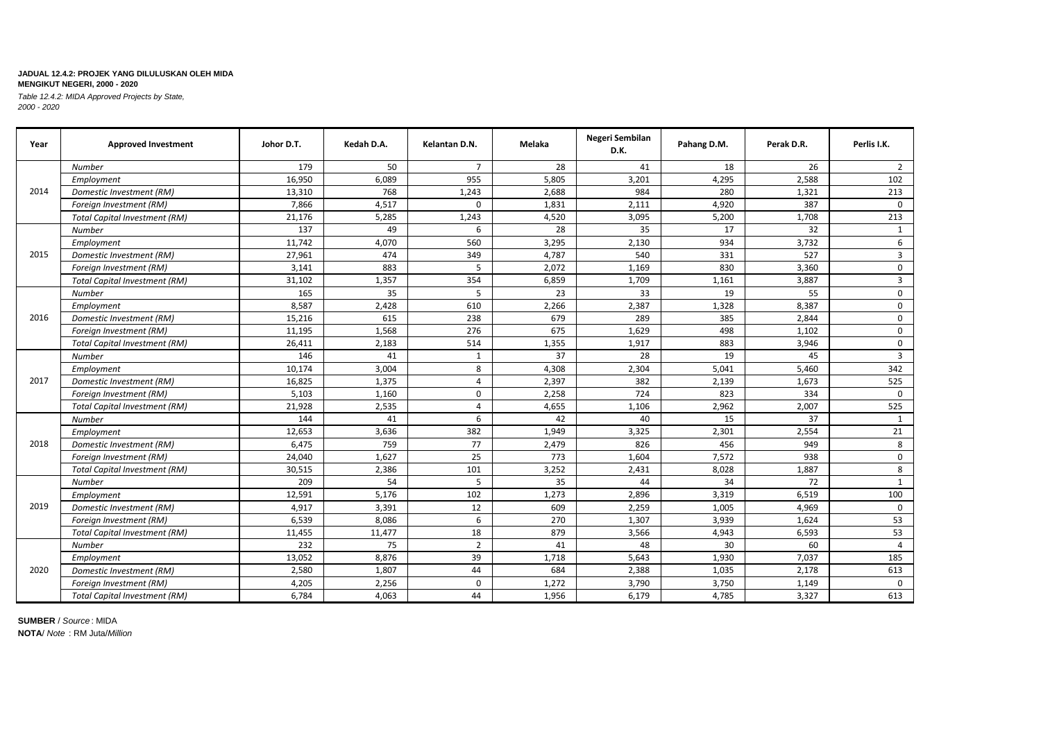*Table 12.4.2: MIDA Approved Projects by State, 2000 - 2020*

| Year | <b>Approved Investment</b>           | Johor D.T. | Kedah D.A. | Kelantan D.N.  | Melaka | Negeri Sembilan<br>D.K. | Pahang D.M. | Perak D.R. | Perlis I.K.             |
|------|--------------------------------------|------------|------------|----------------|--------|-------------------------|-------------|------------|-------------------------|
|      | <b>Number</b>                        | 179        | 50         | $\overline{7}$ | 28     | 41                      | 18          | 26         | $\overline{2}$          |
|      | Employment                           | 16,950     | 6,089      | 955            | 5,805  | 3,201                   | 4,295       | 2,588      | 102                     |
| 2014 | Domestic Investment (RM)             | 13,310     | 768        | 1,243          | 2,688  | 984                     | 280         | 1,321      | 213                     |
|      | Foreign Investment (RM)              | 7,866      | 4,517      | $\mathbf 0$    | 1,831  | 2,111                   | 4,920       | 387        | $\Omega$                |
|      | <b>Total Capital Investment (RM)</b> | 21,176     | 5,285      | 1,243          | 4,520  | 3,095                   | 5,200       | 1,708      | 213                     |
|      | <b>Number</b>                        | 137        | 49         | 6              | 28     | 35                      | 17          | 32         | 1                       |
|      | Employment                           | 11,742     | 4,070      | 560            | 3,295  | 2,130                   | 934         | 3,732      | 6                       |
| 2015 | Domestic Investment (RM)             | 27,961     | 474        | 349            | 4,787  | 540                     | 331         | 527        | $\overline{3}$          |
|      | Foreign Investment (RM)              | 3,141      | 883        | 5              | 2,072  | 1,169                   | 830         | 3,360      | $\mathsf{O}$            |
|      | <b>Total Capital Investment (RM)</b> | 31,102     | 1,357      | 354            | 6,859  | 1,709                   | 1,161       | 3,887      | $\overline{\mathbf{3}}$ |
|      | <b>Number</b>                        | 165        | 35         | 5              | 23     | 33                      | 19          | 55         | $\mathsf{O}$            |
|      | Employment                           | 8,587      | 2,428      | 610            | 2,266  | 2,387                   | 1,328       | 8,387      | $\mathsf{O}$            |
| 2016 | Domestic Investment (RM)             | 15,216     | 615        | 238            | 679    | 289                     | 385         | 2,844      | $\mathsf{O}$            |
|      | Foreign Investment (RM)              | 11,195     | 1,568      | 276            | 675    | 1,629                   | 498         | 1,102      | $\mathsf{O}$            |
|      | <b>Total Capital Investment (RM)</b> | 26,411     | 2,183      | 514            | 1,355  | 1,917                   | 883         | 3,946      | $\mathbf 0$             |
|      | Number                               | 146        | 41         | 1              | 37     | 28                      | 19          | 45         | $\overline{3}$          |
|      | Employment                           | 10,174     | 3,004      | 8              | 4,308  | 2,304                   | 5,041       | 5,460      | 342                     |
| 2017 | Domestic Investment (RM)             | 16,825     | 1,375      | $\overline{4}$ | 2,397  | 382                     | 2,139       | 1,673      | 525                     |
|      | Foreign Investment (RM)              | 5,103      | 1,160      | 0              | 2,258  | 724                     | 823         | 334        | $\Omega$                |
|      | <b>Total Capital Investment (RM)</b> | 21,928     | 2,535      | $\overline{4}$ | 4,655  | 1,106                   | 2,962       | 2,007      | 525                     |
|      | Number                               | 144        | 41         | 6              | 42     | 40                      | 15          | 37         | 1                       |
|      | Employment                           | 12,653     | 3,636      | 382            | 1,949  | 3,325                   | 2,301       | 2,554      | 21                      |
| 2018 | Domestic Investment (RM)             | 6,475      | 759        | 77             | 2,479  | 826                     | 456         | 949        | 8                       |
|      | Foreign Investment (RM)              | 24,040     | 1,627      | 25             | 773    | 1,604                   | 7,572       | 938        | $\mathbf 0$             |
|      | <b>Total Capital Investment (RM)</b> | 30,515     | 2,386      | 101            | 3,252  | 2,431                   | 8,028       | 1,887      | 8                       |
|      | Number                               | 209        | 54         | 5              | 35     | 44                      | 34          | 72         | 1                       |
|      | Employment                           | 12,591     | 5,176      | 102            | 1,273  | 2,896                   | 3,319       | 6,519      | 100                     |
| 2019 | Domestic Investment (RM)             | 4,917      | 3,391      | 12             | 609    | 2,259                   | 1,005       | 4,969      | $\Omega$                |
|      | Foreign Investment (RM)              | 6,539      | 8,086      | 6              | 270    | 1,307                   | 3,939       | 1,624      | 53                      |
|      | <b>Total Capital Investment (RM)</b> | 11,455     | 11,477     | 18             | 879    | 3,566                   | 4,943       | 6,593      | 53                      |
|      | Number                               | 232        | 75         | $\overline{2}$ | 41     | 48                      | 30          | 60         | $\overline{4}$          |
|      | Employment                           | 13,052     | 8,876      | 39             | 1,718  | 5,643                   | 1,930       | 7,037      | 185                     |
| 2020 | Domestic Investment (RM)             | 2,580      | 1,807      | 44             | 684    | 2,388                   | 1,035       | 2,178      | 613                     |
|      | Foreign Investment (RM)              | 4,205      | 2,256      | 0              | 1,272  | 3,790                   | 3,750       | 1,149      | $\Omega$                |
|      | <b>Total Capital Investment (RM)</b> | 6,784      | 4,063      | 44             | 1,956  | 6,179                   | 4,785       | 3,327      | 613                     |

**SUMBER** / *Source* : MIDA

**NOTA**/ *Note* : RM Juta/*Million*